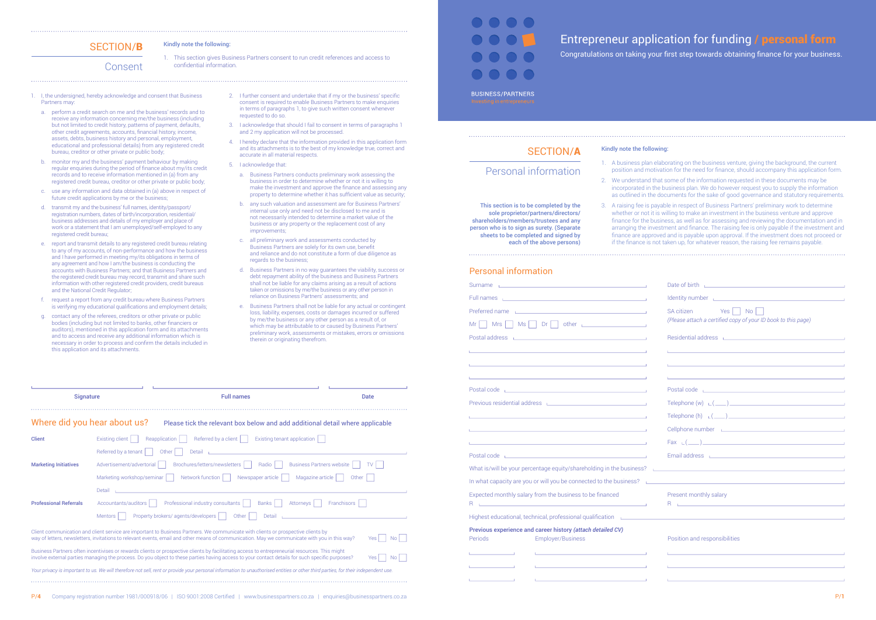1. This section gives Business Partners consent to run credit references and access to confidential information

# SECTION/B Kindly note the following:

Consent

- 1. I, the undersigned, hereby acknowledge and consent that Business Partners may:
	- a. perform a credit search on me and the business' records and to receive any information concerning me/the business (including but not limited to credit history, patterns of payment, defaults, other credit agreements, accounts, financial history, income, assets, debts, business history and personal, employment, educational and professional details) from any registered credit bureau, creditor or other private or public body;
	- b. monitor my and the business' payment behaviour by making regular enquiries during the period of finance about my/its credit records and to receive information mentioned in (a) from any registered credit bureau, creditor or other private or public body;
	- c. use any information and data obtained in (a) above in respect of future credit applications by me or the business;
	- d. transmit my and the business' full names, identity/passport/ registration numbers, dates of birth/incorporation, residential/ business addresses and details of my employer and place of work or a statement that I am unemployed/self-employed to any registered credit bureau;
	- report and transmit details to any registered credit bureau relating to any of my accounts, of non-performance and how the business and I have performed in meeting my/its obligations in terms of any agreement and how I am/the business is conducting the accounts with Business Partners; and that Business Partners and the registered credit bureau may record, transmit and share such information with other registered credit providers, credit bureaus and the National Credit Regulator;
	- request a report from any credit bureau where Business Partners is verifying my educational qualifications and employment details;
	- g. contact any of the referees, creditors or other private or public bodies (including but not limited to banks, other financiers or auditors), mentioned in this application form and its attachments and to access and receive any additional information which is necessary in order to process and confirm the details included in this application and its attachments.
- $2$ . I further consent and undertake that if my or the business' specific consent is required to enable Business Partners to make enquiries in terms of paragraphs 1, to give such written consent whenever requested to do so.
- 3. I acknowledge that should I fail to consent in terms of paragraphs 1 and 2 my application will not be processed.
- 4. I hereby declare that the information provided in this application form and its attachments is to the best of my knowledge true, correct and accurate in all material respects.
- 5. I acknowledge that:

| <b>Signature</b>              |                                                                                                                                                                                    | <b>Full names</b>                                                                                                                                                                                                                                                                                 | Date                                   |  |
|-------------------------------|------------------------------------------------------------------------------------------------------------------------------------------------------------------------------------|---------------------------------------------------------------------------------------------------------------------------------------------------------------------------------------------------------------------------------------------------------------------------------------------------|----------------------------------------|--|
| Where did you hear about us?  |                                                                                                                                                                                    | Please tick the relevant box below and add additional detail where applicable                                                                                                                                                                                                                     |                                        |  |
| <b>Client</b>                 | Existing client                                                                                                                                                                    | Referred by a client<br>Existing tenant application<br>Reapplication                                                                                                                                                                                                                              |                                        |  |
|                               | Referred by a tenant                                                                                                                                                               | Other<br>Detail                                                                                                                                                                                                                                                                                   |                                        |  |
| <b>Marketing Initiatives</b>  | Advertisement/advertorial                                                                                                                                                          | Brochures/letters/newsletters<br>Radio                                                                                                                                                                                                                                                            | <b>Business Partners website</b><br>TV |  |
|                               | Marketing workshop/seminar                                                                                                                                                         | Network function<br>Newspaper article                                                                                                                                                                                                                                                             | Magazine article<br>Other              |  |
|                               | Detail                                                                                                                                                                             |                                                                                                                                                                                                                                                                                                   |                                        |  |
| <b>Professional Referrals</b> | Accountants/auditors                                                                                                                                                               | Professional industry consultants<br><b>Banks</b><br>Attorneys                                                                                                                                                                                                                                    | Franchisors                            |  |
|                               | Mentors                                                                                                                                                                            | Property brokers/agents/developers  <br>Other<br>Detail                                                                                                                                                                                                                                           |                                        |  |
|                               |                                                                                                                                                                                    | Client communication and client service are important to Business Partners. We communicate with clients or prospective clients by<br>way of letters, newsletters, invitations to relevant events, email and other means of communication. May we communicate with you in this way?                | <b>Yes</b><br>Nο                       |  |
|                               |                                                                                                                                                                                    | Business Partners often incentivises or rewards clients or prospective clients by facilitating access to entrepreneurial resources. This might<br>involve external parties managing the process. Do you object to these parties having access to your contact details for such specific purposes? | Yes<br>Nο                              |  |
|                               | Your privacy is important to us. We will therefore not sell, rent or provide your personal information to unauthorised entities or other third parties, for their independent use. |                                                                                                                                                                                                                                                                                                   |                                        |  |
|                               |                                                                                                                                                                                    |                                                                                                                                                                                                                                                                                                   |                                        |  |

Congratulations on taking your first step towards obtaining finance for your business.

**BUSINESS/PARTNERS** 

1. A business plan elaborating on the business venture, giving the background, the current position and motivation for the need for finance, should accompany this application form.

3. A raising fee is payable in respect of Business Partners' preliminary work to determine whether or not it is willing to make an investment in the business venture and approve finance for the business, as well as for assessing and reviewing the documentation and in arranging the investment and finance. The raising fee is only payable if the investment and finance are approved and is payable upon approval. If the investment does not proceed or if the finance is not taken up, for whatever reason, the raising fee remains payable.

- a. Business Partners conducts preliminary work assessing the business in order to determine whether or not it is willing to make the investment and approve the finance and assessing any property to determine whether it has sufficient value as security;
- b. any such valuation and assessment are for Business Partners' internal use only and need not be disclosed to me and is not necessarily intended to determine a market value of the business or any property or the replacement cost of any improvements;
- c. all preliminary work and assessments conducted by Business Partners are solely for its own use, benefit and reliance and do not constitute a form of due diligence as regards to the business:
- d. Business Partners in no way guarantees the viability, success or debt repayment ability of the business and Business Partners shall not be liable for any claims arising as a result of actions taken or omissions by me/the business or any other person in reliance on Business Partners' assessments; and
- e. Business Partners shall not be liable for any actual or contingent loss, liability, expenses, costs or damages incurred or suffered by me/the business or any other person as a result of, or which may be attributable to or caused by Business Partners' preliminary work, assessments or mistakes, errors or omissions therein or originating therefrom.

This section is to be completed by the sole proprietor/partners/directors/ shareholders/members/trustees and any person who is to sign as surety. (Separate sheets to be completed and signed by

each of the above persons)

# Personal information

## SECTION/A

## Personal information

| the control of the control of the control of the control of<br>Surname                                                                                                                                                         |
|--------------------------------------------------------------------------------------------------------------------------------------------------------------------------------------------------------------------------------|
| Full names                                                                                                                                                                                                                     |
| Preferred name and the contract of the contract of the contract of the contract of the contract of the contract of the contract of the contract of the contract of the contract of the contract of the contract of the contrac |
| $MS \fbox{ or }$ Dr $\fbox{ or }$ other<br>Mr<br><b>Mrs</b>                                                                                                                                                                    |
| and the control of the control of the control of the control of the control of<br>Postal address                                                                                                                               |
| <b>在这里的一个人,我们也不能在这里的一个人,我们也不能在这里的一个人,我们也不能在这里的</b>                                                                                                                                                                             |
|                                                                                                                                                                                                                                |
|                                                                                                                                                                                                                                |
| Postal code Postal code and the contract of the contract of the contract of the contract of the contract of the contract of the contract of the contract of the contract of the contract of the contract of the contract of th |
| Previous residential address and the contract of the contract of the contract of the contract of the contract of the contract of the contract of the contract of the contract of the contract of the contract of the contract  |
| and the control of the control of the control of the control of the control of the control of the control of the                                                                                                               |
| and the control of the control of the control of the control of the control of the control of the control of the                                                                                                               |
|                                                                                                                                                                                                                                |
| Postal code and the contract of the contract of the contract of the contract of the contract of the contract of                                                                                                                |
| What is/will be your percentage equity/shareholding in the business?                                                                                                                                                           |
| In what capacity are you or will you be connected to the business? L                                                                                                                                                           |
| Expected monthly salary from the business to be financed<br>the control of the control of the control of the control of the control of the control of<br>R                                                                     |
| Highest educational, technical, professional qualification                                                                                                                                                                     |
| Previous experience and career history (attach detailed CV)<br>Periods<br><b>Employer/Business</b>                                                                                                                             |
| the control of the control of the control of the control of the control of<br><u> 1980 - Jan Barnett, fransk politiker</u>                                                                                                     |
|                                                                                                                                                                                                                                |
|                                                                                                                                                                                                                                |
|                                                                                                                                                                                                                                |

| <u>Identity number and the contract of the contract of the contract of the contract of the contract of the contract of the contract of the contract of the contract of the contract of the contract of the contract of the contr</u>                                                                                                                                                                                                                                                        |
|---------------------------------------------------------------------------------------------------------------------------------------------------------------------------------------------------------------------------------------------------------------------------------------------------------------------------------------------------------------------------------------------------------------------------------------------------------------------------------------------|
| $Yes \mid \mid No \mid \mid$<br>SA citizen<br>(Please attach a certified copy of your ID book to this page)                                                                                                                                                                                                                                                                                                                                                                                 |
| Residential address and the contract of the contract of the contract of the contract of the contract of the contract of the contract of the contract of the contract of the contract of the contract of the contract of the co                                                                                                                                                                                                                                                              |
| ,我们也不会有什么。""我们的人,我们也不会有什么?""我们的人,我们也不会有什么?""我们的人,我们的人,我们的人,我们的人,我们的人,我们的人,我们的人,我                                                                                                                                                                                                                                                                                                                                                                                                            |
| and the control of the control of the control of the control of the control of the control of the control of the                                                                                                                                                                                                                                                                                                                                                                            |
| and the control of the control of the control of the control of the control of the control of the control of the                                                                                                                                                                                                                                                                                                                                                                            |
|                                                                                                                                                                                                                                                                                                                                                                                                                                                                                             |
| Telephone $(w)$ $\sqsubset$ $(\_\_)$                                                                                                                                                                                                                                                                                                                                                                                                                                                        |
| Telephone (h) $L(\underline{\hspace{1cm}})$ $\underline{\hspace{1cm}}$ $\underline{\hspace{1cm}}$ $\underline{\hspace{1cm}}$ $\underline{\hspace{1cm}}$ $\underline{\hspace{1cm}}$ $\underline{\hspace{1cm}}$ $\underline{\hspace{1cm}}$ $\underline{\hspace{1cm}}$ $\underline{\hspace{1cm}}$ $\underline{\hspace{1cm}}$ $\underline{\hspace{1cm}}$ $\underline{\hspace{1cm}}$ $\underline{\hspace{1cm}}$ $\underline{\hspace{1cm}}$ $\underline{\hspace{1cm}}$ $\underline{\hspace{1cm}}$ |
|                                                                                                                                                                                                                                                                                                                                                                                                                                                                                             |
|                                                                                                                                                                                                                                                                                                                                                                                                                                                                                             |
| Email address <u>Communication and Communication</u>                                                                                                                                                                                                                                                                                                                                                                                                                                        |
| the control of the control of the control of the control of the control of the control of                                                                                                                                                                                                                                                                                                                                                                                                   |
| the contract of the contract of the contract of the contract of the contract of the contract of the contract of                                                                                                                                                                                                                                                                                                                                                                             |
| Present monthly salary                                                                                                                                                                                                                                                                                                                                                                                                                                                                      |
| production of the control of the control of the control of the control of<br>R                                                                                                                                                                                                                                                                                                                                                                                                              |
|                                                                                                                                                                                                                                                                                                                                                                                                                                                                                             |
|                                                                                                                                                                                                                                                                                                                                                                                                                                                                                             |

## Position and responsibilities

### Kindly note the following:

2. We understand that some of the information requested in these documents may be incorporated in the business plan. We do however request you to supply the information as outlined in the documents for the sake of good governance and statutory requirements.

# Entrepreneur application for funding / personal form